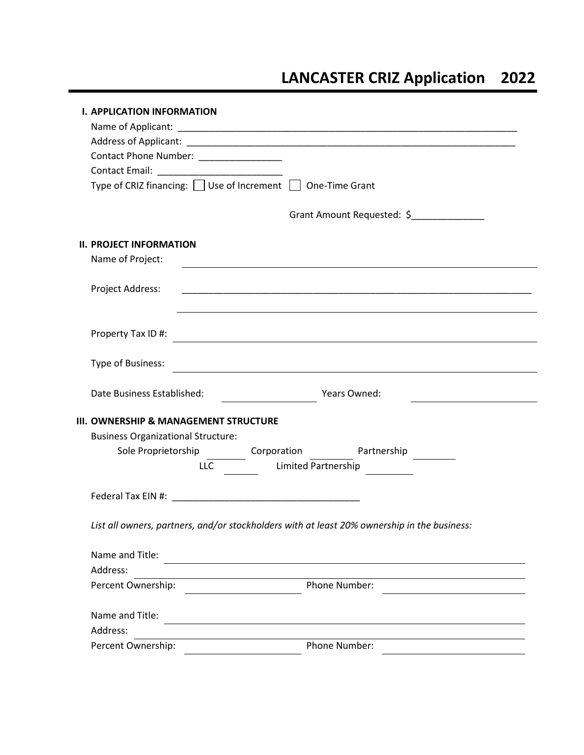# **LANCASTER CRIZ Application 2022**

|                                           | <b>I. APPLICATION INFORMATION</b>                                                                              |                                          |
|-------------------------------------------|----------------------------------------------------------------------------------------------------------------|------------------------------------------|
|                                           |                                                                                                                |                                          |
|                                           |                                                                                                                |                                          |
|                                           | Contact Phone Number: _________________                                                                        |                                          |
|                                           |                                                                                                                |                                          |
|                                           | Type of CRIZ financing: □ Use of Increment □ One-Time Grant                                                    |                                          |
|                                           |                                                                                                                | Grant Amount Requested: \$______________ |
|                                           | <b>II. PROJECT INFORMATION</b>                                                                                 |                                          |
|                                           | Name of Project:                                                                                               |                                          |
|                                           |                                                                                                                |                                          |
|                                           | Project Address:                                                                                               |                                          |
|                                           |                                                                                                                |                                          |
|                                           |                                                                                                                |                                          |
|                                           | Property Tax ID#:                                                                                              |                                          |
|                                           |                                                                                                                |                                          |
|                                           |                                                                                                                |                                          |
|                                           | Date Business Established:<br><b>Example 2 Years Owned:</b>                                                    |                                          |
|                                           | III. OWNERSHIP & MANAGEMENT STRUCTURE                                                                          |                                          |
| <b>Business Organizational Structure:</b> |                                                                                                                |                                          |
|                                           | Sole Proprietorship ____________ Corporation _____________ Partnership _________                               |                                          |
|                                           | Limited Partnership<br><b>LLC</b>                                                                              |                                          |
|                                           |                                                                                                                |                                          |
|                                           |                                                                                                                |                                          |
|                                           |                                                                                                                |                                          |
|                                           | List all owners, partners, and/or stockholders with at least 20% ownership in the business:<br>Name and Title: |                                          |
|                                           |                                                                                                                |                                          |
|                                           | Address:                                                                                                       |                                          |
|                                           | Percent Ownership:                                                                                             | <b>Phone Number:</b>                     |
|                                           |                                                                                                                |                                          |
|                                           | Name and Title:                                                                                                |                                          |
| Address:                                  |                                                                                                                |                                          |
|                                           | Percent Ownership:                                                                                             | Phone Number:                            |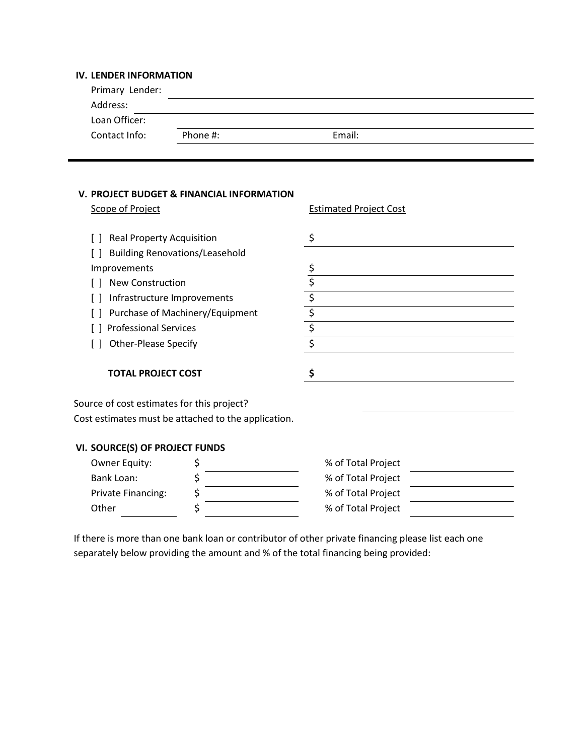# **IV. LENDER INFORMATION**

| Primary Lender: |          |        |  |
|-----------------|----------|--------|--|
| Address:        |          |        |  |
| Loan Officer:   |          |        |  |
| Contact Info:   | Phone #: | Email: |  |
|                 |          |        |  |

#### **V. PROJECT BUDGET & FINANCIAL INFORMATION**

| Scope of Project                                    | <b>Estimated Project Cost</b> |  |
|-----------------------------------------------------|-------------------------------|--|
| <b>Real Property Acquisition</b>                    | \$                            |  |
| <b>Building Renovations/Leasehold</b>               |                               |  |
| Improvements                                        | \$                            |  |
| <b>New Construction</b>                             | \$                            |  |
| Infrastructure Improvements                         | \$                            |  |
| Purchase of Machinery/Equipment                     | \$                            |  |
| <b>Professional Services</b>                        | $\overline{\xi}$              |  |
| <b>Other-Please Specify</b>                         | $\overline{\xi}$              |  |
| <b>TOTAL PROJECT COST</b>                           | \$                            |  |
| Source of cost estimates for this project?          |                               |  |
| Cost estimates must be attached to the application. |                               |  |
| VI. SOURCE(S) OF PROJECT FUNDS                      |                               |  |
| Owner Equity:                                       | \$<br>% of Total Project      |  |
| <b>Bank Loan:</b>                                   | \$<br>% of Total Project      |  |
| <b>Private Financing:</b>                           | % of Total Project            |  |

| Other | % of Total Project                                                                                 |
|-------|----------------------------------------------------------------------------------------------------|
|       | If there is more than one bank loan or contributor of other private financing please list each one |

separately below providing the amount and % of the total financing being provided: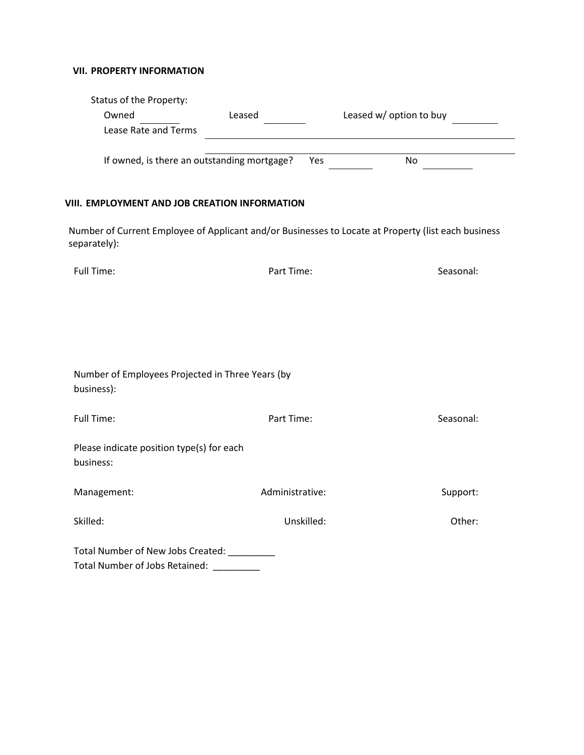## **VII. PROPERTY INFORMATION**

| Status of the Property:                                                                |                                                                                                     |                         |
|----------------------------------------------------------------------------------------|-----------------------------------------------------------------------------------------------------|-------------------------|
| Owned                                                                                  | Leased                                                                                              | Leased w/ option to buy |
| Lease Rate and Terms                                                                   |                                                                                                     |                         |
| If owned, is there an outstanding mortgage?                                            | Yes                                                                                                 | <b>No</b>               |
| VIII. EMPLOYMENT AND JOB CREATION INFORMATION                                          |                                                                                                     |                         |
| separately):                                                                           | Number of Current Employee of Applicant and/or Businesses to Locate at Property (list each business |                         |
| <b>Full Time:</b>                                                                      | Part Time:                                                                                          | Seasonal:               |
|                                                                                        |                                                                                                     |                         |
|                                                                                        |                                                                                                     |                         |
|                                                                                        |                                                                                                     |                         |
|                                                                                        |                                                                                                     |                         |
| Number of Employees Projected in Three Years (by<br>business):                         |                                                                                                     |                         |
| <b>Full Time:</b>                                                                      | Part Time:                                                                                          | Seasonal:               |
| Please indicate position type(s) for each<br>business:                                 |                                                                                                     |                         |
| Management:                                                                            | Administrative:                                                                                     | Support:                |
| Skilled:                                                                               | Unskilled:                                                                                          | Other:                  |
| Total Number of New Jobs Created: ________<br>Total Number of Jobs Retained: _________ |                                                                                                     |                         |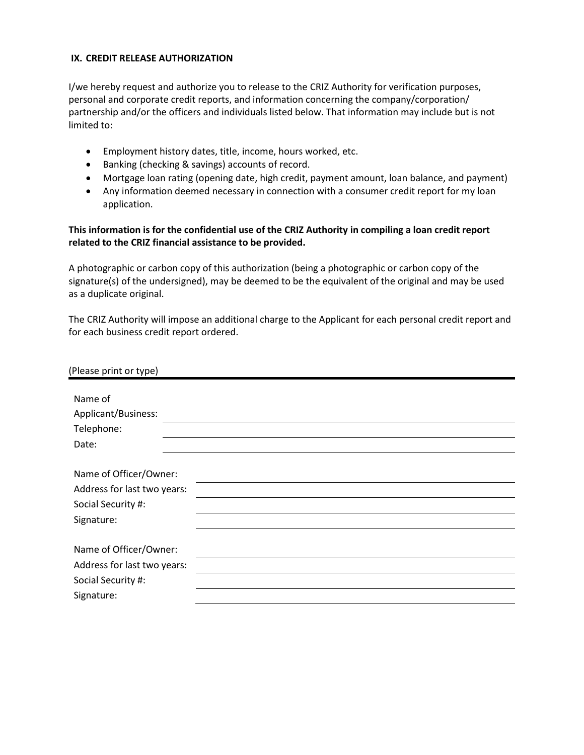#### **IX. CREDIT RELEASE AUTHORIZATION**

I/we hereby request and authorize you to release to the CRIZ Authority for verification purposes, personal and corporate credit reports, and information concerning the company/corporation/ partnership and/or the officers and individuals listed below. That information may include but is not limited to:

- Employment history dates, title, income, hours worked, etc.
- Banking (checking & savings) accounts of record.
- Mortgage loan rating (opening date, high credit, payment amount, loan balance, and payment)
- Any information deemed necessary in connection with a consumer credit report for my loan application.

## **This information is for the confidential use of the CRIZ Authority in compiling a loan credit report related to the CRIZ financial assistance to be provided.**

A photographic or carbon copy of this authorization (being a photographic or carbon copy of the signature(s) of the undersigned), may be deemed to be the equivalent of the original and may be used as a duplicate original.

The CRIZ Authority will impose an additional charge to the Applicant for each personal credit report and for each business credit report ordered.

| (Please print or type)                                                                    |  |  |
|-------------------------------------------------------------------------------------------|--|--|
| Name of<br>Applicant/Business:<br>Telephone:<br>Date:                                     |  |  |
| Name of Officer/Owner:<br>Address for last two years:<br>Social Security #:<br>Signature: |  |  |
| Name of Officer/Owner:<br>Address for last two years:<br>Social Security #:<br>Signature: |  |  |